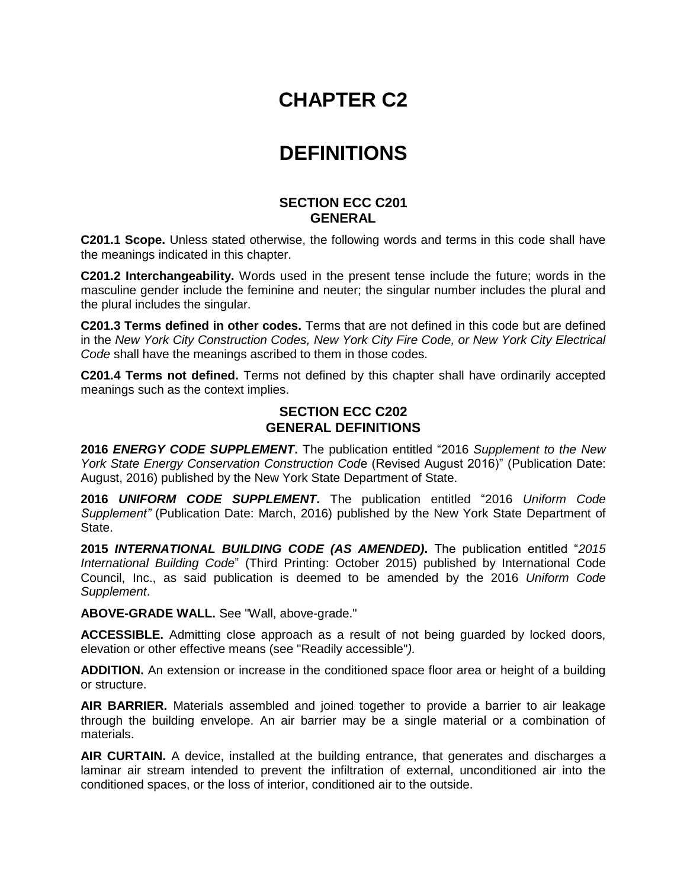## **CHAPTER C2**

## **DEFINITIONS**

## **SECTION ECC C201 GENERAL**

**C201.1 Scope.** Unless stated otherwise, the following words and terms in this code shall have the meanings indicated in this chapter.

**C201.2 Interchangeability.** Words used in the present tense include the future; words in the masculine gender include the feminine and neuter; the singular number includes the plural and the plural includes the singular.

**C201.3 Terms defined in other codes.** Terms that are not defined in this code but are defined in the *New York City Construction Codes, New York City Fire Code, or New York City Electrical Code* shall have the meanings ascribed to them in those codes.

**C201.4 Terms not defined.** Terms not defined by this chapter shall have ordinarily accepted meanings such as the context implies.

## **SECTION ECC C202 GENERAL DEFINITIONS**

**2016** *ENERGY CODE SUPPLEMENT***.** The publication entitled "2016 *Supplement to the New York State Energy Conservation Construction Cod*e (Revised August 2016)" (Publication Date: August, 2016) published by the New York State Department of State.

**2016** *UNIFORM CODE SUPPLEMENT***.** The publication entitled "2016 *Uniform Code Supplement"* (Publication Date: March, 2016) published by the New York State Department of State.

**2015** *INTERNATIONAL BUILDING CODE (AS AMENDED)***.** The publication entitled "*2015 International Building Code*" (Third Printing: October 2015) published by International Code Council, Inc., as said publication is deemed to be amended by the 2016 *Uniform Code Supplement*.

**ABOVE-GRADE WALL.** See "Wall, above-grade."

**ACCESSIBLE.** Admitting close approach as a result of not being guarded by locked doors, elevation or other effective means (see "Readily accessible"*).*

**ADDITION.** An extension or increase in the conditioned space floor area or height of a building or structure.

**AIR BARRIER.** Materials assembled and joined together to provide a barrier to air leakage through the building envelope. An air barrier may be a single material or a combination of materials.

**AIR CURTAIN.** A device, installed at the building entrance, that generates and discharges a laminar air stream intended to prevent the infiltration of external, unconditioned air into the conditioned spaces, or the loss of interior, conditioned air to the outside.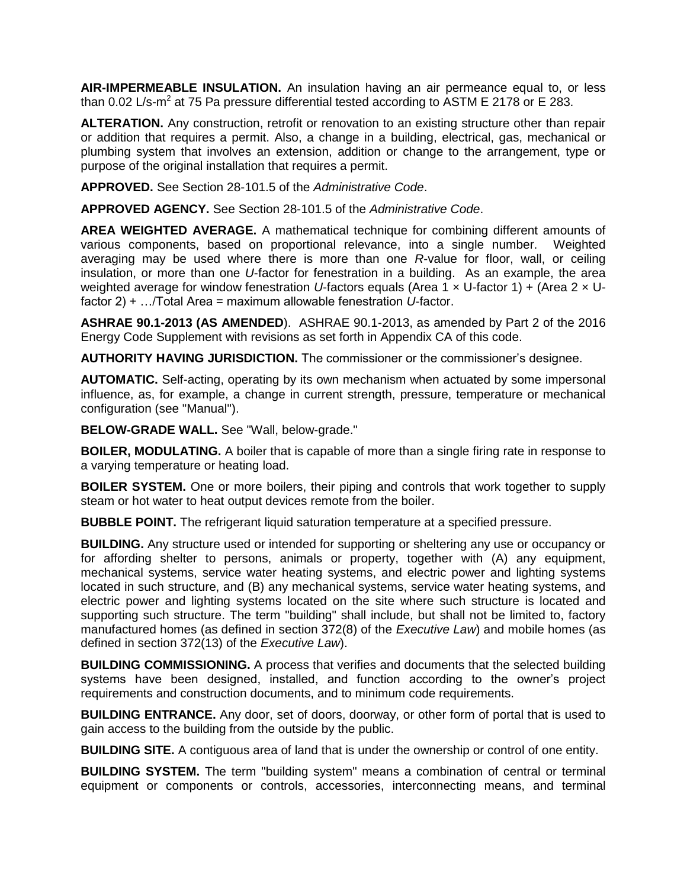**AIR-IMPERMEABLE INSULATION.** An insulation having an air permeance equal to, or less than 0.02 L/s-m<sup>2</sup> at 75 Pa pressure differential tested according to ASTM E 2178 or E 283.

**ALTERATION.** Any construction, retrofit or renovation to an existing structure other than repair or addition that requires a permit. Also, a change in a building, electrical, gas, mechanical or plumbing system that involves an extension, addition or change to the arrangement, type or purpose of the original installation that requires a permit.

**APPROVED.** See Section 28-101.5 of the *Administrative Code*.

**APPROVED AGENCY.** See Section 28-101.5 of the *Administrative Code*.

**AREA WEIGHTED AVERAGE.** A mathematical technique for combining different amounts of various components, based on proportional relevance, into a single number. Weighted averaging may be used where there is more than one *R*-value for floor, wall, or ceiling insulation, or more than one *U*-factor for fenestration in a building. As an example, the area weighted average for window fenestration *U*-factors equals (Area 1 × U-factor 1) + (Area 2 × Ufactor 2) + …/Total Area = maximum allowable fenestration *U*-factor.

**ASHRAE 90.1-2013 (AS AMENDED**). ASHRAE 90.1-2013, as amended by Part 2 of the 2016 Energy Code Supplement with revisions as set forth in Appendix CA of this code.

**AUTHORITY HAVING JURISDICTION.** The commissioner or the commissioner's designee.

**AUTOMATIC.** Self-acting, operating by its own mechanism when actuated by some impersonal influence, as, for example, a change in current strength, pressure, temperature or mechanical configuration (see "Manual").

**BELOW-GRADE WALL.** See "Wall, below-grade."

**BOILER, MODULATING.** A boiler that is capable of more than a single firing rate in response to a varying temperature or heating load.

**BOILER SYSTEM.** One or more boilers, their piping and controls that work together to supply steam or hot water to heat output devices remote from the boiler.

**BUBBLE POINT.** The refrigerant liquid saturation temperature at a specified pressure.

**BUILDING.** Any structure used or intended for supporting or sheltering any use or occupancy or for affording shelter to persons, animals or property, together with (A) any equipment, mechanical systems, service water heating systems, and electric power and lighting systems located in such structure, and (B) any mechanical systems, service water heating systems, and electric power and lighting systems located on the site where such structure is located and supporting such structure. The term "building" shall include, but shall not be limited to, factory manufactured homes (as defined in section 372(8) of the *Executive Law*) and mobile homes (as defined in section 372(13) of the *Executive Law*).

**BUILDING COMMISSIONING.** A process that verifies and documents that the selected building systems have been designed, installed, and function according to the owner's project requirements and construction documents, and to minimum code requirements.

**BUILDING ENTRANCE.** Any door, set of doors, doorway, or other form of portal that is used to gain access to the building from the outside by the public.

**BUILDING SITE.** A contiguous area of land that is under the ownership or control of one entity.

**BUILDING SYSTEM.** The term "building system" means a combination of central or terminal equipment or components or controls, accessories, interconnecting means, and terminal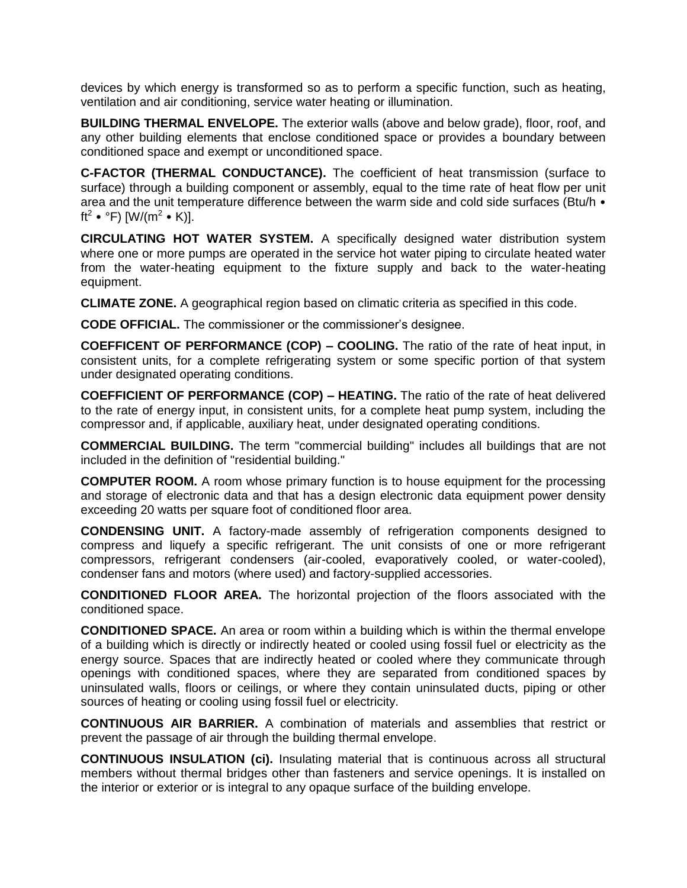devices by which energy is transformed so as to perform a specific function, such as heating, ventilation and air conditioning, service water heating or illumination.

**BUILDING THERMAL ENVELOPE.** The exterior walls (above and below grade), floor, roof, and any other building elements that enclose conditioned space or provides a boundary between conditioned space and exempt or unconditioned space.

**C-FACTOR (THERMAL CONDUCTANCE).** The coefficient of heat transmission (surface to surface) through a building component or assembly, equal to the time rate of heat flow per unit area and the unit temperature difference between the warm side and cold side surfaces (Btu/h  $\bullet$ ft<sup>2</sup> • °F) [W/(m<sup>2</sup> • K)].

**CIRCULATING HOT WATER SYSTEM.** A specifically designed water distribution system where one or more pumps are operated in the service hot water piping to circulate heated water from the water-heating equipment to the fixture supply and back to the water-heating equipment.

**CLIMATE ZONE.** A geographical region based on climatic criteria as specified in this code.

**CODE OFFICIAL.** The commissioner or the commissioner's designee.

**COEFFICENT OF PERFORMANCE (COP) – COOLING.** The ratio of the rate of heat input, in consistent units, for a complete refrigerating system or some specific portion of that system under designated operating conditions.

**COEFFICIENT OF PERFORMANCE (COP) – HEATING.** The ratio of the rate of heat delivered to the rate of energy input, in consistent units, for a complete heat pump system, including the compressor and, if applicable, auxiliary heat, under designated operating conditions.

**COMMERCIAL BUILDING.** The term "commercial building" includes all buildings that are not included in the definition of "residential building."

**COMPUTER ROOM.** A room whose primary function is to house equipment for the processing and storage of electronic data and that has a design electronic data equipment power density exceeding 20 watts per square foot of conditioned floor area.

**CONDENSING UNIT.** A factory-made assembly of refrigeration components designed to compress and liquefy a specific refrigerant. The unit consists of one or more refrigerant compressors, refrigerant condensers (air-cooled, evaporatively cooled, or water-cooled), condenser fans and motors (where used) and factory-supplied accessories.

**CONDITIONED FLOOR AREA.** The horizontal projection of the floors associated with the conditioned space.

**CONDITIONED SPACE.** An area or room within a building which is within the thermal envelope of a building which is directly or indirectly heated or cooled using fossil fuel or electricity as the energy source. Spaces that are indirectly heated or cooled where they communicate through openings with conditioned spaces, where they are separated from conditioned spaces by uninsulated walls, floors or ceilings, or where they contain uninsulated ducts, piping or other sources of heating or cooling using fossil fuel or electricity.

**CONTINUOUS AIR BARRIER.** A combination of materials and assemblies that restrict or prevent the passage of air through the building thermal envelope.

**CONTINUOUS INSULATION (ci).** Insulating material that is continuous across all structural members without thermal bridges other than fasteners and service openings. It is installed on the interior or exterior or is integral to any opaque surface of the building envelope.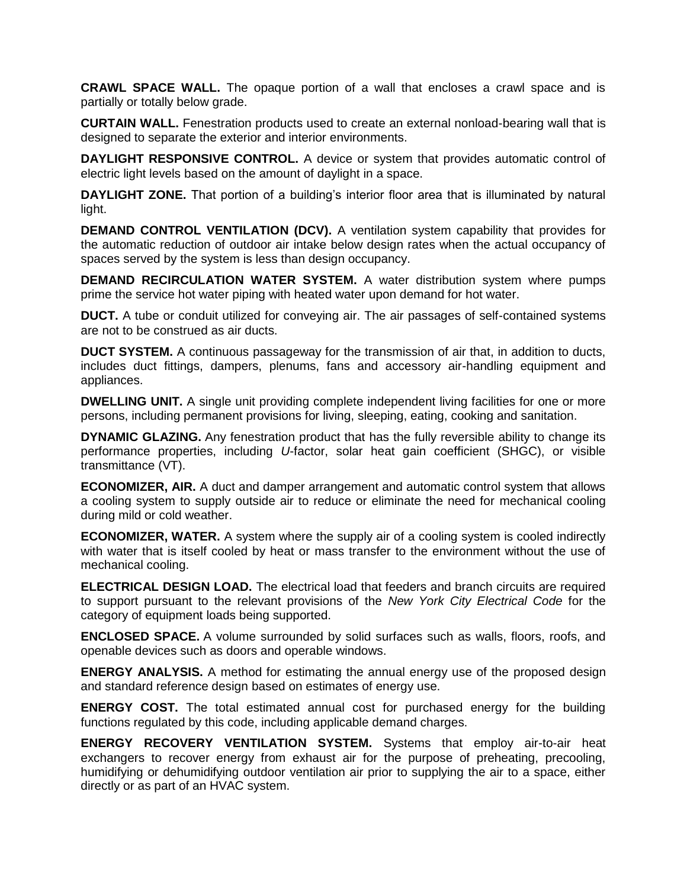**CRAWL SPACE WALL.** The opaque portion of a wall that encloses a crawl space and is partially or totally below grade.

**CURTAIN WALL.** Fenestration products used to create an external nonload-bearing wall that is designed to separate the exterior and interior environments.

**DAYLIGHT RESPONSIVE CONTROL.** A device or system that provides automatic control of electric light levels based on the amount of daylight in a space.

**DAYLIGHT ZONE.** That portion of a building's interior floor area that is illuminated by natural light.

**DEMAND CONTROL VENTILATION (DCV).** A ventilation system capability that provides for the automatic reduction of outdoor air intake below design rates when the actual occupancy of spaces served by the system is less than design occupancy.

**DEMAND RECIRCULATION WATER SYSTEM.** A water distribution system where pumps prime the service hot water piping with heated water upon demand for hot water.

**DUCT.** A tube or conduit utilized for conveying air. The air passages of self-contained systems are not to be construed as air ducts.

**DUCT SYSTEM.** A continuous passageway for the transmission of air that, in addition to ducts, includes duct fittings, dampers, plenums, fans and accessory air-handling equipment and appliances.

**DWELLING UNIT.** A single unit providing complete independent living facilities for one or more persons, including permanent provisions for living, sleeping, eating, cooking and sanitation.

**DYNAMIC GLAZING.** Any fenestration product that has the fully reversible ability to change its performance properties, including *U*-factor, solar heat gain coefficient (SHGC), or visible transmittance (VT).

**ECONOMIZER, AIR.** A duct and damper arrangement and automatic control system that allows a cooling system to supply outside air to reduce or eliminate the need for mechanical cooling during mild or cold weather.

**ECONOMIZER, WATER.** A system where the supply air of a cooling system is cooled indirectly with water that is itself cooled by heat or mass transfer to the environment without the use of mechanical cooling.

**ELECTRICAL DESIGN LOAD.** The electrical load that feeders and branch circuits are required to support pursuant to the relevant provisions of the *New York City Electrical Code* for the category of equipment loads being supported.

**ENCLOSED SPACE.** A volume surrounded by solid surfaces such as walls, floors, roofs, and openable devices such as doors and operable windows.

**ENERGY ANALYSIS.** A method for estimating the annual energy use of the proposed design and standard reference design based on estimates of energy use.

**ENERGY COST.** The total estimated annual cost for purchased energy for the building functions regulated by this code, including applicable demand charges.

**ENERGY RECOVERY VENTILATION SYSTEM.** Systems that employ air-to-air heat exchangers to recover energy from exhaust air for the purpose of preheating, precooling, humidifying or dehumidifying outdoor ventilation air prior to supplying the air to a space, either directly or as part of an HVAC system.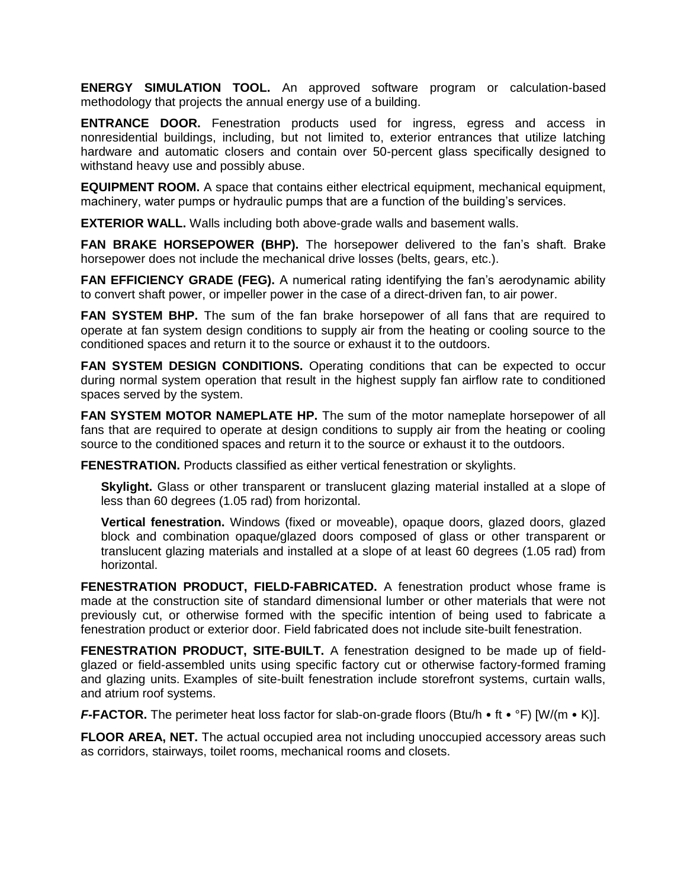**ENERGY SIMULATION TOOL.** An approved software program or calculation-based methodology that projects the annual energy use of a building.

**ENTRANCE DOOR.** Fenestration products used for ingress, egress and access in nonresidential buildings, including, but not limited to, exterior entrances that utilize latching hardware and automatic closers and contain over 50-percent glass specifically designed to withstand heavy use and possibly abuse.

**EQUIPMENT ROOM.** A space that contains either electrical equipment, mechanical equipment, machinery, water pumps or hydraulic pumps that are a function of the building's services.

**EXTERIOR WALL.** Walls including both above-grade walls and basement walls.

**FAN BRAKE HORSEPOWER (BHP).** The horsepower delivered to the fan's shaft. Brake horsepower does not include the mechanical drive losses (belts, gears, etc.).

**FAN EFFICIENCY GRADE (FEG).** A numerical rating identifying the fan's aerodynamic ability to convert shaft power, or impeller power in the case of a direct-driven fan, to air power.

**FAN SYSTEM BHP.** The sum of the fan brake horsepower of all fans that are required to operate at fan system design conditions to supply air from the heating or cooling source to the conditioned spaces and return it to the source or exhaust it to the outdoors.

**FAN SYSTEM DESIGN CONDITIONS.** Operating conditions that can be expected to occur during normal system operation that result in the highest supply fan airflow rate to conditioned spaces served by the system.

**FAN SYSTEM MOTOR NAMEPLATE HP.** The sum of the motor nameplate horsepower of all fans that are required to operate at design conditions to supply air from the heating or cooling source to the conditioned spaces and return it to the source or exhaust it to the outdoors.

**FENESTRATION.** Products classified as either vertical fenestration or skylights.

**Skylight.** Glass or other transparent or translucent glazing material installed at a slope of less than 60 degrees (1.05 rad) from horizontal.

**Vertical fenestration.** Windows (fixed or moveable), opaque doors, glazed doors, glazed block and combination opaque/glazed doors composed of glass or other transparent or translucent glazing materials and installed at a slope of at least 60 degrees (1.05 rad) from horizontal.

**FENESTRATION PRODUCT, FIELD-FABRICATED.** A fenestration product whose frame is made at the construction site of standard dimensional lumber or other materials that were not previously cut, or otherwise formed with the specific intention of being used to fabricate a fenestration product or exterior door. Field fabricated does not include site-built fenestration.

**FENESTRATION PRODUCT, SITE-BUILT.** A fenestration designed to be made up of fieldglazed or field-assembled units using specific factory cut or otherwise factory-formed framing and glazing units. Examples of site-built fenestration include storefront systems, curtain walls, and atrium roof systems.

*F***FACTOR.** The perimeter heat loss factor for slab-on-grade floors (Btu/h • ft • °F) [W/(m • K)].

**FLOOR AREA, NET.** The actual occupied area not including unoccupied accessory areas such as corridors, stairways, toilet rooms, mechanical rooms and closets.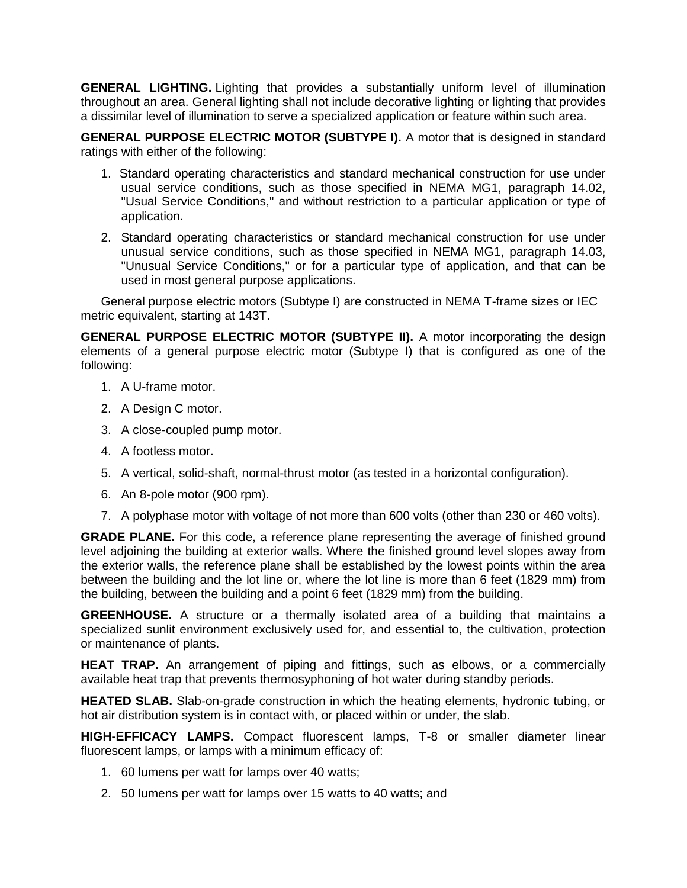**GENERAL LIGHTING.** Lighting that provides a substantially uniform level of illumination throughout an area. General lighting shall not include decorative lighting or lighting that provides a dissimilar level of illumination to serve a specialized application or feature within such area.

**GENERAL PURPOSE ELECTRIC MOTOR (SUBTYPE I).** A motor that is designed in standard ratings with either of the following:

- 1. Standard operating characteristics and standard mechanical construction for use under usual service conditions, such as those specified in NEMA MG1, paragraph 14.02, "Usual Service Conditions," and without restriction to a particular application or type of application.
- 2. Standard operating characteristics or standard mechanical construction for use under unusual service conditions, such as those specified in NEMA MG1, paragraph 14.03, "Unusual Service Conditions," or for a particular type of application, and that can be used in most general purpose applications.

General purpose electric motors (Subtype I) are constructed in NEMA T-frame sizes or IEC metric equivalent, starting at 143T.

**GENERAL PURPOSE ELECTRIC MOTOR (SUBTYPE II).** A motor incorporating the design elements of a general purpose electric motor (Subtype I) that is configured as one of the following:

- 1. A U-frame motor.
- 2. A Design C motor.
- 3. A close-coupled pump motor.
- 4. A footless motor.
- 5. A vertical, solid-shaft, normal-thrust motor (as tested in a horizontal configuration).
- 6. An 8-pole motor (900 rpm).
- 7. A polyphase motor with voltage of not more than 600 volts (other than 230 or 460 volts).

**GRADE PLANE.** For this code, a reference plane representing the average of finished ground level adjoining the building at exterior walls. Where the finished ground level slopes away from the exterior walls, the reference plane shall be established by the lowest points within the area between the building and the lot line or, where the lot line is more than 6 feet (1829 mm) from the building, between the building and a point 6 feet (1829 mm) from the building.

**GREENHOUSE.** A structure or a thermally isolated area of a building that maintains a specialized sunlit environment exclusively used for, and essential to, the cultivation, protection or maintenance of plants.

**HEAT TRAP.** An arrangement of piping and fittings, such as elbows, or a commercially available heat trap that prevents thermosyphoning of hot water during standby periods.

**HEATED SLAB.** Slab-on-grade construction in which the heating elements, hydronic tubing, or hot air distribution system is in contact with, or placed within or under, the slab.

**HIGH-EFFICACY LAMPS.** Compact fluorescent lamps, T-8 or smaller diameter linear fluorescent lamps, or lamps with a minimum efficacy of:

- 1. 60 lumens per watt for lamps over 40 watts;
- 2. 50 lumens per watt for lamps over 15 watts to 40 watts; and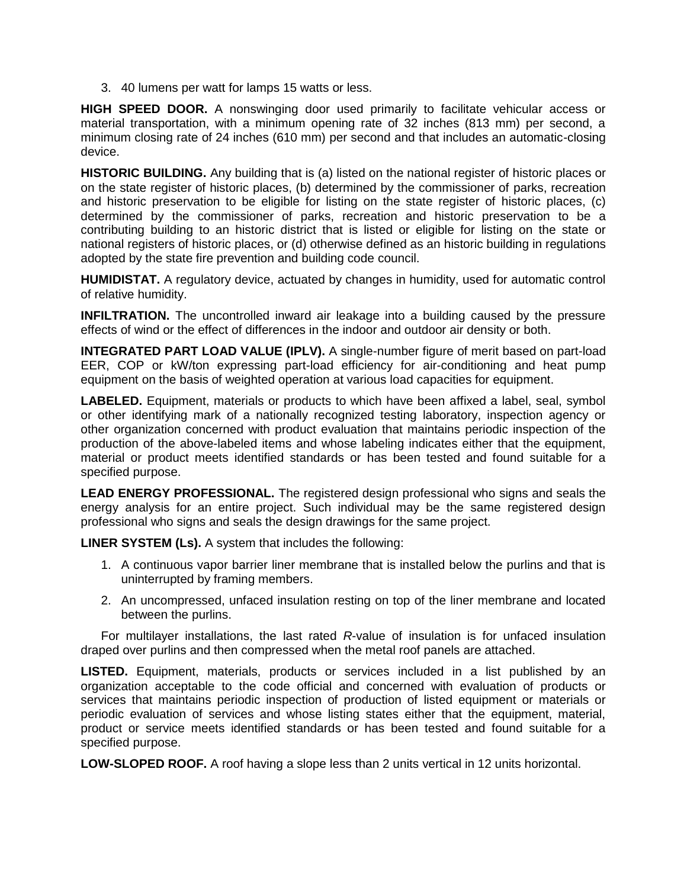3. 40 lumens per watt for lamps 15 watts or less.

**HIGH SPEED DOOR.** A nonswinging door used primarily to facilitate vehicular access or material transportation, with a minimum opening rate of 32 inches (813 mm) per second, a minimum closing rate of 24 inches (610 mm) per second and that includes an automatic-closing device.

**HISTORIC BUILDING.** Any building that is (a) listed on the national register of historic places or on the state register of historic places, (b) determined by the commissioner of parks, recreation and historic preservation to be eligible for listing on the state register of historic places, (c) determined by the commissioner of parks, recreation and historic preservation to be a contributing building to an historic district that is listed or eligible for listing on the state or national registers of historic places, or (d) otherwise defined as an historic building in regulations adopted by the state fire prevention and building code council.

**HUMIDISTAT.** A regulatory device, actuated by changes in humidity, used for automatic control of relative humidity.

**INFILTRATION.** The uncontrolled inward air leakage into a building caused by the pressure effects of wind or the effect of differences in the indoor and outdoor air density or both.

**INTEGRATED PART LOAD VALUE (IPLV).** A single-number figure of merit based on part-load EER, COP or kW/ton expressing part-load efficiency for air-conditioning and heat pump equipment on the basis of weighted operation at various load capacities for equipment.

**LABELED.** Equipment, materials or products to which have been affixed a label, seal, symbol or other identifying mark of a nationally recognized testing laboratory, inspection agency or other organization concerned with product evaluation that maintains periodic inspection of the production of the above-labeled items and whose labeling indicates either that the equipment, material or product meets identified standards or has been tested and found suitable for a specified purpose.

**LEAD ENERGY PROFESSIONAL.** The registered design professional who signs and seals the energy analysis for an entire project. Such individual may be the same registered design professional who signs and seals the design drawings for the same project.

**LINER SYSTEM (Ls).** A system that includes the following:

- 1. A continuous vapor barrier liner membrane that is installed below the purlins and that is uninterrupted by framing members.
- 2. An uncompressed, unfaced insulation resting on top of the liner membrane and located between the purlins.

For multilayer installations, the last rated *R*-value of insulation is for unfaced insulation draped over purlins and then compressed when the metal roof panels are attached.

**LISTED.** Equipment, materials, products or services included in a list published by an organization acceptable to the code official and concerned with evaluation of products or services that maintains periodic inspection of production of listed equipment or materials or periodic evaluation of services and whose listing states either that the equipment, material, product or service meets identified standards or has been tested and found suitable for a specified purpose.

**LOW-SLOPED ROOF.** A roof having a slope less than 2 units vertical in 12 units horizontal.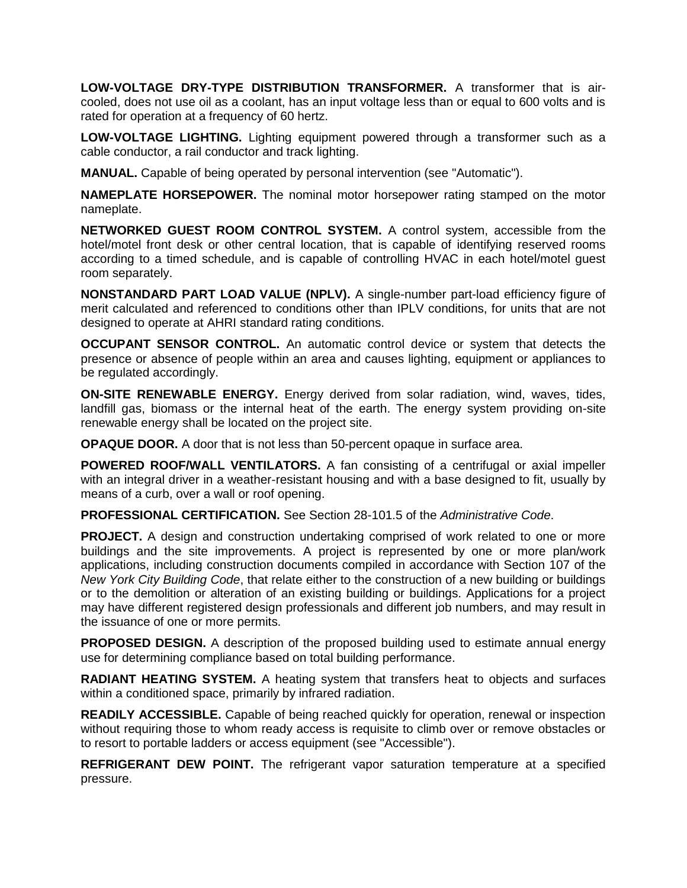**LOW-VOLTAGE DRY-TYPE DISTRIBUTION TRANSFORMER.** A transformer that is aircooled, does not use oil as a coolant, has an input voltage less than or equal to 600 volts and is rated for operation at a frequency of 60 hertz.

**LOW-VOLTAGE LIGHTING.** Lighting equipment powered through a transformer such as a cable conductor, a rail conductor and track lighting.

**MANUAL.** Capable of being operated by personal intervention (see "Automatic").

**NAMEPLATE HORSEPOWER.** The nominal motor horsepower rating stamped on the motor nameplate.

**NETWORKED GUEST ROOM CONTROL SYSTEM.** A control system, accessible from the hotel/motel front desk or other central location, that is capable of identifying reserved rooms according to a timed schedule, and is capable of controlling HVAC in each hotel/motel guest room separately.

**NONSTANDARD PART LOAD VALUE (NPLV).** A single-number part-load efficiency figure of merit calculated and referenced to conditions other than IPLV conditions, for units that are not designed to operate at AHRI standard rating conditions.

**OCCUPANT SENSOR CONTROL.** An automatic control device or system that detects the presence or absence of people within an area and causes lighting, equipment or appliances to be regulated accordingly.

**ON-SITE RENEWABLE ENERGY.** Energy derived from solar radiation, wind, waves, tides, landfill gas, biomass or the internal heat of the earth. The energy system providing on-site renewable energy shall be located on the project site.

**OPAQUE DOOR.** A door that is not less than 50-percent opaque in surface area.

**POWERED ROOF/WALL VENTILATORS.** A fan consisting of a centrifugal or axial impeller with an integral driver in a weather-resistant housing and with a base designed to fit, usually by means of a curb, over a wall or roof opening.

**PROFESSIONAL CERTIFICATION.** See Section 28-101.5 of the *Administrative Code*.

**PROJECT.** A design and construction undertaking comprised of work related to one or more buildings and the site improvements. A project is represented by one or more plan/work applications, including construction documents compiled in accordance with Section 107 of the *New York City Building Code*, that relate either to the construction of a new building or buildings or to the demolition or alteration of an existing building or buildings. Applications for a project may have different registered design professionals and different job numbers, and may result in the issuance of one or more permits.

**PROPOSED DESIGN.** A description of the proposed building used to estimate annual energy use for determining compliance based on total building performance.

**RADIANT HEATING SYSTEM.** A heating system that transfers heat to objects and surfaces within a conditioned space, primarily by infrared radiation.

**READILY ACCESSIBLE.** Capable of being reached quickly for operation, renewal or inspection without requiring those to whom ready access is requisite to climb over or remove obstacles or to resort to portable ladders or access equipment (see "Accessible").

**REFRIGERANT DEW POINT.** The refrigerant vapor saturation temperature at a specified pressure.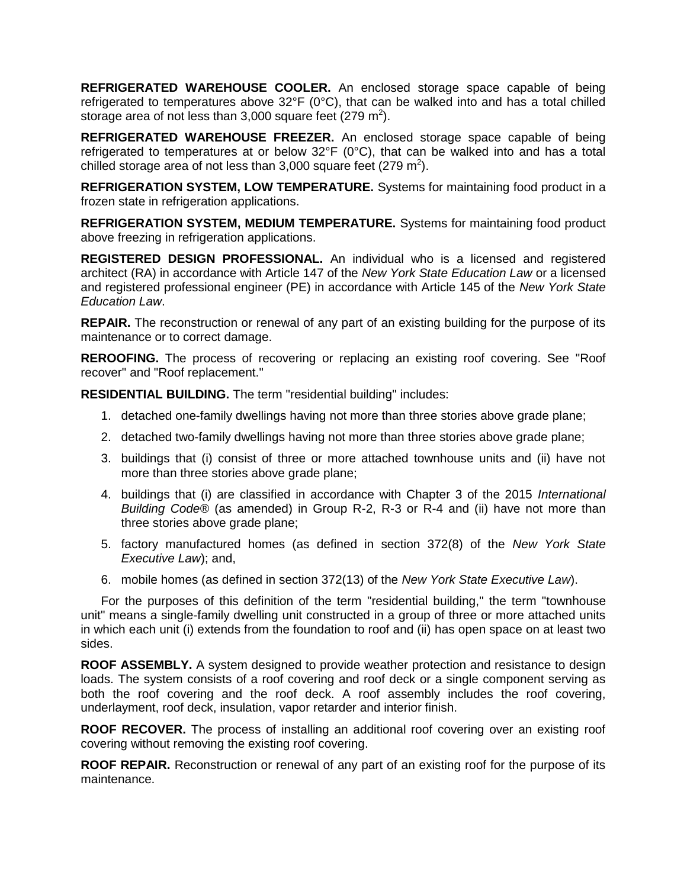**REFRIGERATED WAREHOUSE COOLER.** An enclosed storage space capable of being refrigerated to temperatures above  $32^{\circ}F$  (0 $^{\circ}C$ ), that can be walked into and has a total chilled storage area of not less than 3,000 square feet (279 m<sup>2</sup>).

**REFRIGERATED WAREHOUSE FREEZER.** An enclosed storage space capable of being refrigerated to temperatures at or below 32°F (0°C), that can be walked into and has a total chilled storage area of not less than 3,000 square feet (279 m<sup>2</sup>).

**REFRIGERATION SYSTEM, LOW TEMPERATURE.** Systems for maintaining food product in a frozen state in refrigeration applications.

**REFRIGERATION SYSTEM, MEDIUM TEMPERATURE.** Systems for maintaining food product above freezing in refrigeration applications.

**REGISTERED DESIGN PROFESSIONAL.** An individual who is a licensed and registered architect (RA) in accordance with Article 147 of the *New York State Education Law* or a licensed and registered professional engineer (PE) in accordance with Article 145 of the *New York State Education Law*.

**REPAIR.** The reconstruction or renewal of any part of an existing building for the purpose of its maintenance or to correct damage.

**REROOFING.** The process of recovering or replacing an existing roof covering. See "Roof recover" and "Roof replacement."

**RESIDENTIAL BUILDING.** The term "residential building" includes:

- 1. detached one-family dwellings having not more than three stories above grade plane;
- 2. detached two-family dwellings having not more than three stories above grade plane;
- 3. buildings that (i) consist of three or more attached townhouse units and (ii) have not more than three stories above grade plane;
- 4. buildings that (i) are classified in accordance with Chapter 3 of the 2015 *International Building Code®* (as amended) in Group R-2, R-3 or R-4 and (ii) have not more than three stories above grade plane;
- 5. factory manufactured homes (as defined in section 372(8) of the *New York State Executive Law*); and,
- 6. mobile homes (as defined in section 372(13) of the *New York State Executive Law*).

For the purposes of this definition of the term "residential building," the term "townhouse unit" means a single-family dwelling unit constructed in a group of three or more attached units in which each unit (i) extends from the foundation to roof and (ii) has open space on at least two sides.

**ROOF ASSEMBLY.** A system designed to provide weather protection and resistance to design loads. The system consists of a roof covering and roof deck or a single component serving as both the roof covering and the roof deck. A roof assembly includes the roof covering, underlayment, roof deck, insulation, vapor retarder and interior finish.

**ROOF RECOVER.** The process of installing an additional roof covering over an existing roof covering without removing the existing roof covering.

**ROOF REPAIR.** Reconstruction or renewal of any part of an existing roof for the purpose of its maintenance.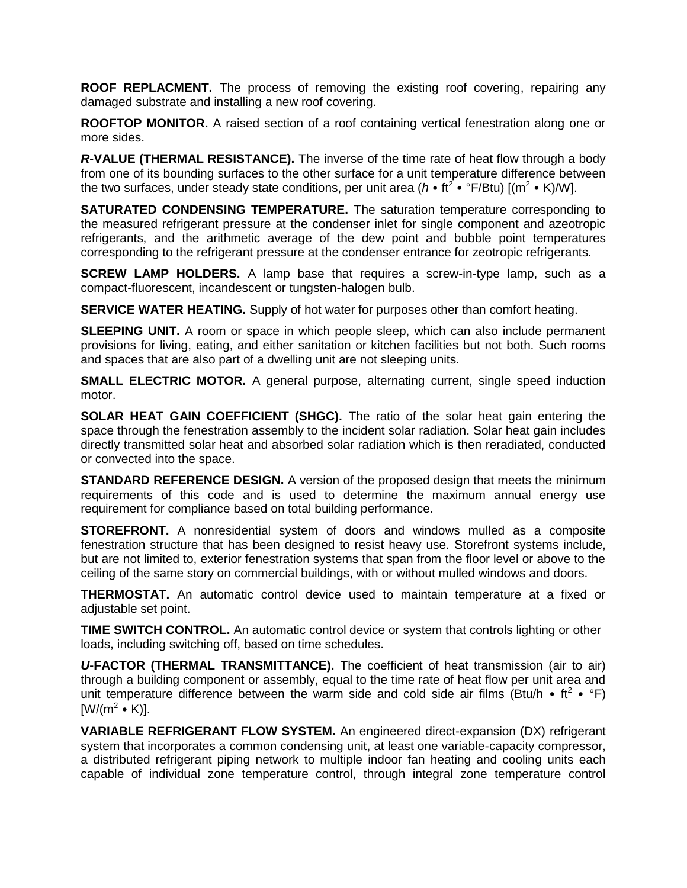**ROOF REPLACMENT.** The process of removing the existing roof covering, repairing any damaged substrate and installing a new roof covering.

**ROOFTOP MONITOR.** A raised section of a roof containing vertical fenestration along one or more sides.

*R***-VALUE (THERMAL RESISTANCE).** The inverse of the time rate of heat flow through a body from one of its bounding surfaces to the other surface for a unit temperature difference between the two surfaces, under steady state conditions, per unit area (*h* • ft<sup>2</sup> • °F/Btu) [(m<sup>2</sup> • K)/W].

**SATURATED CONDENSING TEMPERATURE.** The saturation temperature corresponding to the measured refrigerant pressure at the condenser inlet for single component and azeotropic refrigerants, and the arithmetic average of the dew point and bubble point temperatures corresponding to the refrigerant pressure at the condenser entrance for zeotropic refrigerants.

**SCREW LAMP HOLDERS.** A lamp base that requires a screw-in-type lamp, such as a compact-fluorescent, incandescent or tungsten-halogen bulb.

**SERVICE WATER HEATING.** Supply of hot water for purposes other than comfort heating.

**SLEEPING UNIT.** A room or space in which people sleep, which can also include permanent provisions for living, eating, and either sanitation or kitchen facilities but not both. Such rooms and spaces that are also part of a dwelling unit are not sleeping units.

**SMALL ELECTRIC MOTOR.** A general purpose, alternating current, single speed induction motor.

**SOLAR HEAT GAIN COEFFICIENT (SHGC).** The ratio of the solar heat gain entering the space through the fenestration assembly to the incident solar radiation. Solar heat gain includes directly transmitted solar heat and absorbed solar radiation which is then reradiated, conducted or convected into the space.

**STANDARD REFERENCE DESIGN.** A version of the proposed design that meets the minimum requirements of this code and is used to determine the maximum annual energy use requirement for compliance based on total building performance.

**STOREFRONT.** A nonresidential system of doors and windows mulled as a composite fenestration structure that has been designed to resist heavy use. Storefront systems include, but are not limited to, exterior fenestration systems that span from the floor level or above to the ceiling of the same story on commercial buildings, with or without mulled windows and doors.

**THERMOSTAT.** An automatic control device used to maintain temperature at a fixed or adjustable set point.

**TIME SWITCH CONTROL.** An automatic control device or system that controls lighting or other loads, including switching off, based on time schedules.

*U***-FACTOR (THERMAL TRANSMITTANCE).** The coefficient of heat transmission (air to air) through a building component or assembly, equal to the time rate of heat flow per unit area and unit temperature difference between the warm side and cold side air films (Btu/h • ft<sup>2</sup> • °F) [W/(m<sup>2</sup> • K)].

**VARIABLE REFRIGERANT FLOW SYSTEM.** An engineered direct-expansion (DX) refrigerant system that incorporates a common condensing unit, at least one variable-capacity compressor, a distributed refrigerant piping network to multiple indoor fan heating and cooling units each capable of individual zone temperature control, through integral zone temperature control